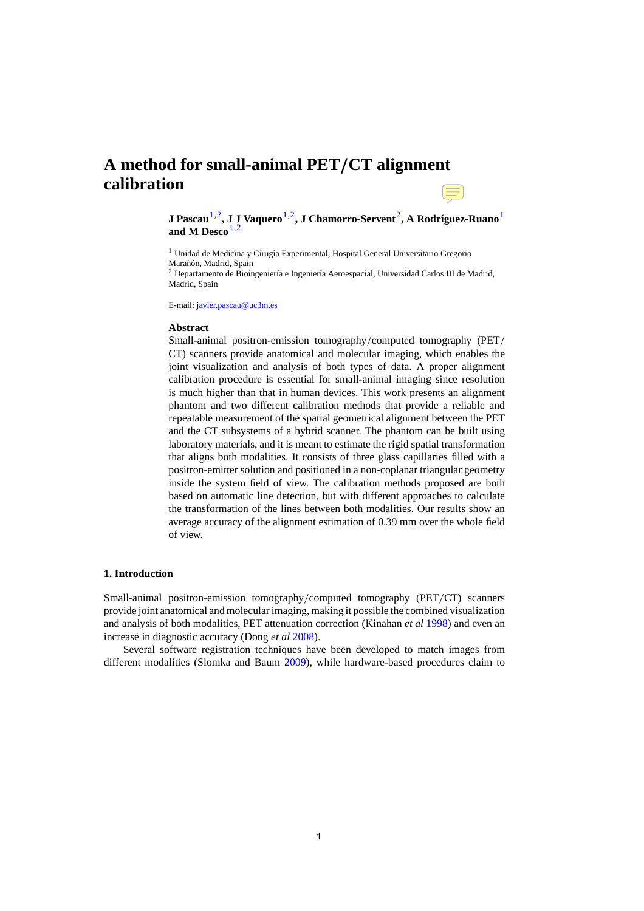# **A method for small-animal PET***/***CT alignment calibration**

**J Pascau<sup>1,2</sup>, J J Vaquero<sup>1,2</sup>, J Chamorro-Servent<sup>2</sup>, A Rodríguez-Ruano<sup>1</sup>** and M Desco<sup>1,2</sup>

<sup>1</sup> Unidad de Medicina y Cirugía Experimental, Hospital General Universitario Gregorio Marañón, Madrid, Spain

 $<sup>2</sup>$  Departamento de Bioingeniería e Ingeniería Aeroespacial, Universidad Carlos III de Madrid,</sup> Madrid, Spain

E-mail: [javier.pascau@uc3m.es](mailto:javier.pascau@uc3m.es)

#### **Abstract**

Small-animal positron-emission tomography*/*computed tomography (PET*/* CT) scan[ners provide anatomical and m](http://stacks.iop.org/PMB/57/N199)olecular imaging, which enables the joint visualization and analysis of both types of data. A proper alignment calibration procedure is essential for small-animal imaging since resolution is much higher than that in human devices. This work presents an alignment phantom and two different calibration methods that provide a reliable and repeatable measurement of the spatial geometrical alignment between the PET and the CT subsystems of a hybrid scanner. The phantom can be built using laboratory materials, and it is meant to estimate the rigid spatial transformation that aligns both modalities. It consists of three glass capillaries filled with a positron-emitter solution and positioned in a non-coplanar triangular geometry inside the system field of view. The calibration methods proposed are both based on automatic line detection, but with different approaches to calculate the transformation of the lines between both modalities. Our results show an average accuracy of the alignment estimation of 0.39 mm over the whole field of view.

#### **1. Introduction**

Small-animal positron-emission tomography*/*computed tomography (PET*/*CT) scanners provide joint anatomical and molecular imaging, making it possible the combined visualization and analysis of both modalities, PET attenuation correction (Kinahan *et al* 1998) and even an increase in diagnostic accuracy (Dong *et al* 2008).

Several software registration techniques have been developed to match images from different modalities (Slomka and Baum 2009), while hardware-based procedures claim to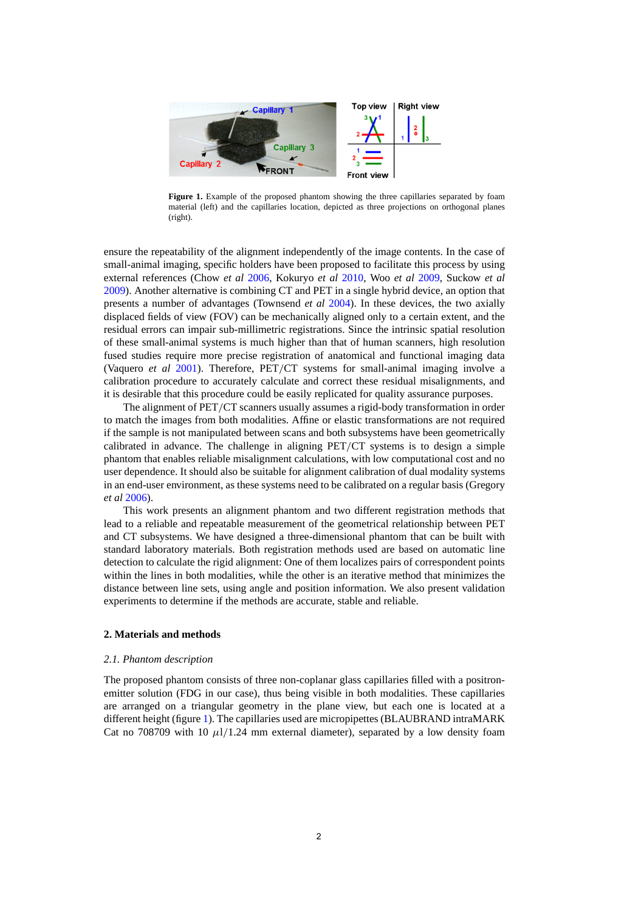<span id="page-1-0"></span>

**Figure 1.** Example of the proposed phantom showing the three capillaries separated by foam material (left) and the capillaries location, depicted as three projections on orthogonal planes (right).

ensure the repeatability of the alignment independently of the image contents. In the case of small-animal imaging, specific holders have been proposed to facilitate this process by using external references (Chow *et al* [2006,](#page-7-0) Kokuryo *et al* [2010,](#page-7-0) Woo *et al* [2009](#page-8-0), Suckow *et al* [2009\)](#page-8-0). Another alternative is combining CT and PET in a single hybrid device, an option that presents a number of advantages (Townsend *et al* [2004\)](#page-8-0). In these devices, the two axially displaced fields of view (FOV) can be mechanically aligned only to a certain extent, and the residual errors can impair sub-millimetric registrations. Since the intrinsic spatial resolution of these small-animal systems is much higher than that of human scanners, high resolution fused studies require more precise registration of anatomical and functional imaging data (Vaquero *et al* [2001](#page-8-0)). Therefore, PET*/*CT systems for small-animal imaging involve a calibration procedure to accurately calculate and correct these residual misalignments, and it is desirable that this procedure could be easily replicated for quality assurance purposes.

The alignment of PET*/*CT scanners usually assumes a rigid-body transformation in order to match the images from both modalities. Affine or elastic transformations are not required if the sample is not manipulated between scans and both subsystems have been geometrically calibrated in advance. The challenge in aligning PET*/*CT systems is to design a simple phantom that enables reliable misalignment calculations, with low computational cost and no user dependence. It should also be suitable for alignment calibration of dual modality systems in an end-user environment, as these systems need to be calibrated on a regular basis (Gregory *et al* [2006\)](#page-7-0).

This work presents an alignment phantom and two different registration methods that lead to a reliable and repeatable measurement of the geometrical relationship between PET and CT subsystems. We have designed a three-dimensional phantom that can be built with standard laboratory materials. Both registration methods used are based on automatic line detection to calculate the rigid alignment: One of them localizes pairs of correspondent points within the lines in both modalities, while the other is an iterative method that minimizes the distance between line sets, using angle and position information. We also present validation experiments to determine if the methods are accurate, stable and reliable.

# **2. Materials and methods**

#### *2.1. Phantom description*

The proposed phantom consists of three non-coplanar glass capillaries filled with a positronemitter solution (FDG in our case), thus being visible in both modalities. These capillaries are arranged on a triangular geometry in the plane view, but each one is located at a different height (figure 1). The capillaries used are micropipettes (BLAUBRAND intraMARK Cat no 708709 with 10  $\mu$ 1/1.24 mm external diameter), separated by a low density foam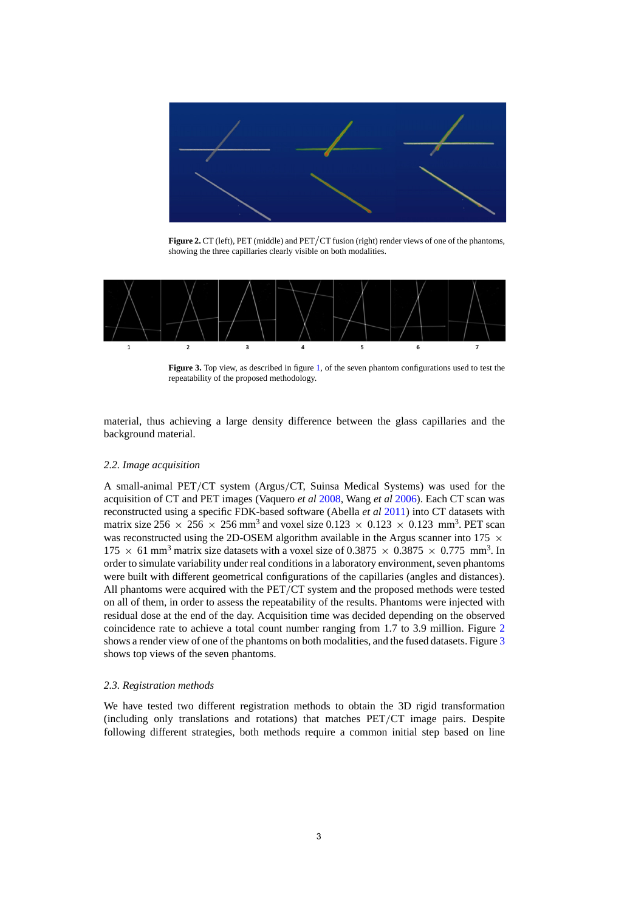

**Figure 2.** CT (left), PET (middle) and PET*/*CT fusion (right) render views of one of the phantoms, showing the three capillaries clearly visible on both modalities.



**Figure 3.** Top view, as described in figure [1,](#page-1-0) of the seven phantom configurations used to test the repeatability of the proposed methodology.

material, thus achieving a large density difference between the glass capillaries and the background material.

## *2.2. Image acquisition*

A small-animal PET*/*CT system (Argus*/*CT, Suinsa Medical Systems) was used for the acquisition of CT and PET images (Vaquero *et al* [2008,](#page-8-0) Wang *et al* [2006\)](#page-8-0). Each CT scan was reconstructed using a specific FDK-based software (Abella *et al* [2011\)](#page-7-0) into CT datasets with matrix size 256  $\times$  256  $\times$  256 mm<sup>3</sup> and voxel size 0.123  $\times$  0.123  $\times$  0.123 mm<sup>3</sup>. PET scan was reconstructed using the 2D-OSEM algorithm available in the Argus scanner into 175  $\times$ 175  $\times$  61 mm<sup>3</sup> matrix size datasets with a voxel size of 0.3875  $\times$  0.3875  $\times$  0.775 mm<sup>3</sup>. In order to simulate variability under real conditions in a laboratory environment, seven phantoms were built with different geometrical configurations of the capillaries (angles and distances). All phantoms were acquired with the PET*/*CT system and the proposed methods were tested on all of them, in order to assess the repeatability of the results. Phantoms were injected with residual dose at the end of the day. Acquisition time was decided depending on the observed coincidence rate to achieve a total count number ranging from 1.7 to 3.9 million. Figure 2 shows a render view of one of the phantoms on both modalities, and the fused datasets. Figure 3 shows top views of the seven phantoms.

## *2.3. Registration methods*

We have tested two different registration methods to obtain the 3D rigid transformation (including only translations and rotations) that matches PET*/*CT image pairs. Despite following different strategies, both methods require a common initial step based on line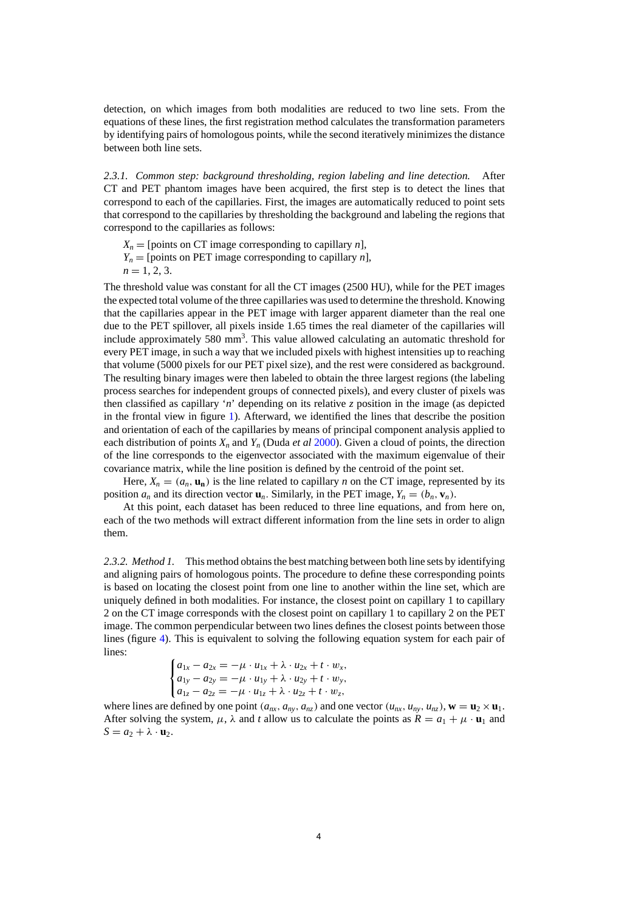detection, on which images from both modalities are reduced to two line sets. From the equations of these lines, the first registration method calculates the transformation parameters by identifying pairs of homologous points, while the second iteratively minimizes the distance between both line sets.

*2.3.1. Common step: background thresholding, region labeling and line detection.* After CT and PET phantom images have been acquired, the first step is to detect the lines that correspond to each of the capillaries. First, the images are automatically reduced to point sets that correspond to the capillaries by thresholding the background and labeling the regions that correspond to the capillaries as follows:

 $X_n$  = [points on CT image corresponding to capillary *n*],  $Y_n$  = [points on PET image corresponding to capillary *n*],  $n = 1, 2, 3.$ 

The threshold value was constant for all the CT images (2500 HU), while for the PET images the expected total volume of the three capillaries was used to determine the threshold. Knowing that the capillaries appear in the PET image with larger apparent diameter than the real one due to the PET spillover, all pixels inside 1.65 times the real diameter of the capillaries will include approximately 580 mm<sup>3</sup>. This value allowed calculating an automatic threshold for every PET image, in such a way that we included pixels with highest intensities up to reaching that volume (5000 pixels for our PET pixel size), and the rest were considered as background. The resulting binary images were then labeled to obtain the three largest regions (the labeling process searches for independent groups of connected pixels), and every cluster of pixels was then classified as capillary '*n*' depending on its relative *z* position in the image (as depicted in the frontal view in figure [1\)](#page-1-0). Afterward, we identified the lines that describe the position and orientation of each of the capillaries by means of principal component analysis applied to each distribution of points  $X_n$  and  $Y_n$  (Duda *et al* [2000\)](#page-7-0). Given a cloud of points, the direction of the line corresponds to the eigenvector associated with the maximum eigenvalue of their covariance matrix, while the line position is defined by the centroid of the point set.

Here,  $X_n = (a_n, \mathbf{u}_n)$  is the line related to capillary *n* on the CT image, represented by its position  $a_n$  and its direction vector  $\mathbf{u}_n$ . Similarly, in the PET image,  $Y_n = (b_n, \mathbf{v}_n)$ .

At this point, each dataset has been reduced to three line equations, and from here on, each of the two methods will extract different information from the line sets in order to align them.

*2.3.2. Method 1.* This method obtains the best matching between both line sets by identifying and aligning pairs of homologous points. The procedure to define these corresponding points is based on locating the closest point from one line to another within the line set, which are uniquely defined in both modalities. For instance, the closest point on capillary 1 to capillary 2 on the CT image corresponds with the closest point on capillary 1 to capillary 2 on the PET image. The common perpendicular between two lines defines the closest points between those lines (figure [4\)](#page-4-0). This is equivalent to solving the following equation system for each pair of lines:

$$
\begin{cases}\na_{1x} - a_{2x} = -\mu \cdot u_{1x} + \lambda \cdot u_{2x} + t \cdot w_x, \\
a_{1y} - a_{2y} = -\mu \cdot u_{1y} + \lambda \cdot u_{2y} + t \cdot w_y, \\
a_{1z} - a_{2z} = -\mu \cdot u_{1z} + \lambda \cdot u_{2z} + t \cdot w_z,\n\end{cases}
$$

where lines are defined by one point  $(a_{nx}, a_{ny}, a_{nz})$  and one vector  $(u_{nx}, u_{ny}, u_{nz})$ ,  $\mathbf{w} = \mathbf{u}_2 \times \mathbf{u}_1$ . After solving the system,  $\mu$ ,  $\lambda$  and *t* allow us to calculate the points as  $R = a_1 + \mu \cdot \mathbf{u}_1$  and  $S = a_2 + \lambda \cdot \mathbf{u}_2$ .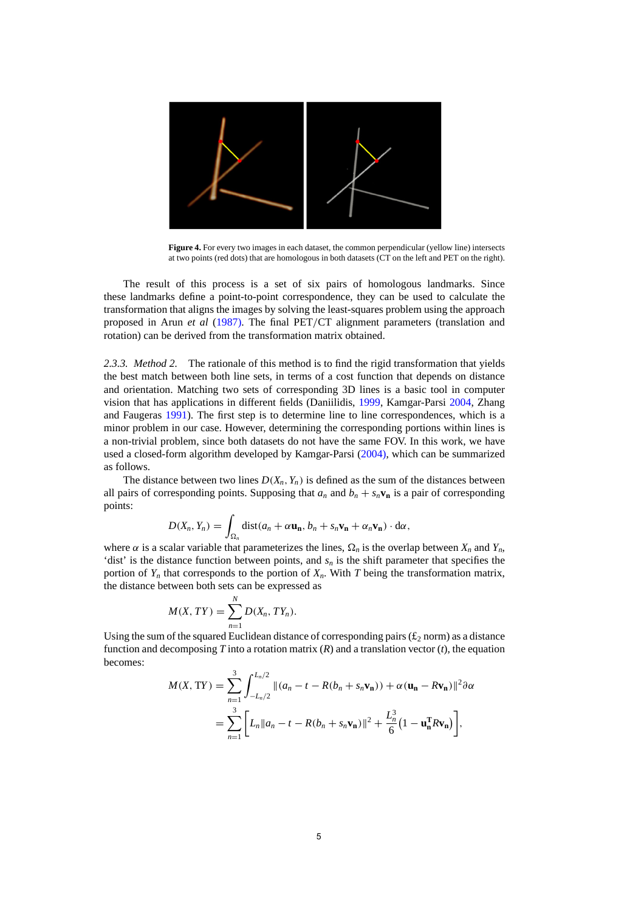<span id="page-4-0"></span>

**Figure 4.** For every two images in each dataset, the common perpendicular (yellow line) intersects at two points (red dots) that are homologous in both datasets (CT on the left and PET on the right).

The result of this process is a set of six pairs of homologous landmarks. Since these landmarks define a point-to-point correspondence, they can be used to calculate the transformation that aligns the images by solving the least-squares problem using the approach proposed in Arun *et al* [\(1987\).](#page-7-0) The final PET*/*CT alignment parameters (translation and rotation) can be derived from the transformation matrix obtained.

*2.3.3. Method 2.* The rationale of this method is to find the rigid transformation that yields the best match between both line sets, in terms of a cost function that depends on distance and orientation. Matching two sets of corresponding 3D lines is a basic tool in computer vision that has applications in different fields (Daniilidis, [1999](#page-7-0), Kamgar-Parsi [2004](#page-7-0), Zhang and Faugeras [1991\)](#page-8-0). The first step is to determine line to line correspondences, which is a minor problem in our case. However, determining the corresponding portions within lines is a non-trivial problem, since both datasets do not have the same FOV. In this work, we have used a closed-form algorithm developed by Kamgar-Parsi [\(2004\),](#page-7-0) which can be summarized as follows.

The distance between two lines  $D(X_n, Y_n)$  is defined as the sum of the distances between all pairs of corresponding points. Supposing that  $a_n$  and  $b_n + s_n \mathbf{v}_n$  is a pair of corresponding points:

$$
D(X_n, Y_n) = \int_{\Omega_n} \text{dist}(a_n + \alpha \mathbf{u_n}, b_n + s_n \mathbf{v_n} + \alpha_n \mathbf{v_n}) \cdot d\alpha,
$$

where  $\alpha$  is a scalar variable that parameterizes the lines,  $\Omega_n$  is the overlap between  $X_n$  and  $Y_n$ , 'dist' is the distance function between points, and  $s_n$  is the shift parameter that specifies the portion of  $Y_n$  that corresponds to the portion of  $X_n$ . With *T* being the transformation matrix, the distance between both sets can be expressed as

$$
M(X, TY) = \sum_{n=1}^{N} D(X_n, TY_n).
$$

Using the sum of the squared Euclidean distance of corresponding pairs ( $\mathfrak{t}_2$  norm) as a distance function and decomposing  $T$  into a rotation matrix  $(R)$  and a translation vector  $(t)$ , the equation becomes:

$$
M(X, \text{TY}) = \sum_{n=1}^{3} \int_{-L_n/2}^{L_n/2} ||(a_n - t - R(b_n + s_n \mathbf{v}_n)) + \alpha (\mathbf{u}_n - R\mathbf{v}_n)||^2 \partial \alpha
$$
  
= 
$$
\sum_{n=1}^{3} \Big[ L_n ||a_n - t - R(b_n + s_n \mathbf{v}_n)||^2 + \frac{L_n^3}{6} (1 - \mathbf{u}_n^{\text{T}} R\mathbf{v}_n) \Big],
$$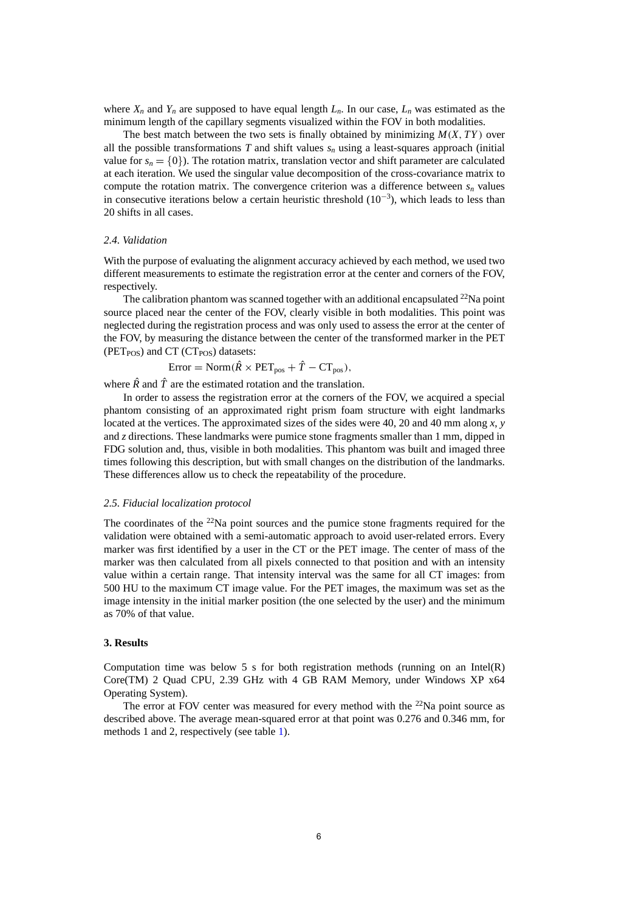<span id="page-5-0"></span>where  $X_n$  and  $Y_n$  are supposed to have equal length  $L_n$ . In our case,  $L_n$  was estimated as the minimum length of the capillary segments visualized within the FOV in both modalities.

The best match between the two sets is finally obtained by minimizing *M*(*X*, *TY* ) over all the possible transformations  $T$  and shift values  $s_n$  using a least-squares approach (initial value for  $s_n = \{0\}$ ). The rotation matrix, translation vector and shift parameter are calculated at each iteration. We used the singular value decomposition of the cross-covariance matrix to compute the rotation matrix. The convergence criterion was a difference between  $s_n$  values in consecutive iterations below a certain heuristic threshold  $(10^{-3})$ , which leads to less than 20 shifts in all cases.

#### *2.4. Validation*

With the purpose of evaluating the alignment accuracy achieved by each method, we used two different measurements to estimate the registration error at the center and corners of the FOV, respectively.

The calibration phantom was scanned together with an additional encapsulated  $^{22}$ Na point source placed near the center of the FOV, clearly visible in both modalities. This point was neglected during the registration process and was only used to assess the error at the center of the FOV, by measuring the distance between the center of the transformed marker in the PET ( $PET<sub>POS</sub>$ ) and CT ( $CT<sub>POS</sub>$ ) datasets:

$$
Error = Norm(\hat{R} \times PET_{pos} + \hat{T} - CT_{pos}),
$$

where  $\hat{R}$  and  $\hat{T}$  are the estimated rotation and the translation.

In order to assess the registration error at the corners of the FOV, we acquired a special phantom consisting of an approximated right prism foam structure with eight landmarks located at the vertices. The approximated sizes of the sides were 40, 20 and 40 mm along *x*, *y* and *z* directions. These landmarks were pumice stone fragments smaller than 1 mm, dipped in FDG solution and, thus, visible in both modalities. This phantom was built and imaged three times following this description, but with small changes on the distribution of the landmarks. These differences allow us to check the repeatability of the procedure.

#### *2.5. Fiducial localization protocol*

The coordinates of the <sup>22</sup>Na point sources and the pumice stone fragments required for the validation were obtained with a semi-automatic approach to avoid user-related errors. Every marker was first identified by a user in the CT or the PET image. The center of mass of the marker was then calculated from all pixels connected to that position and with an intensity value within a certain range. That intensity interval was the same for all CT images: from 500 HU to the maximum CT image value. For the PET images, the maximum was set as the image intensity in the initial marker position (the one selected by the user) and the minimum as 70% of that value.

#### **3. Results**

Computation time was below 5 s for both registration methods (running on an Intel $(R)$ ) Core(TM) 2 Quad CPU, 2.39 GHz with 4 GB RAM Memory, under Windows XP x64 Operating System).

The error at FOV center was measured for every method with the  $22$ Na point source as described above. The average mean-squared error at that point was 0.276 and 0.346 mm, for methods 1 and 2, respectively (see table [1\)](#page-6-0).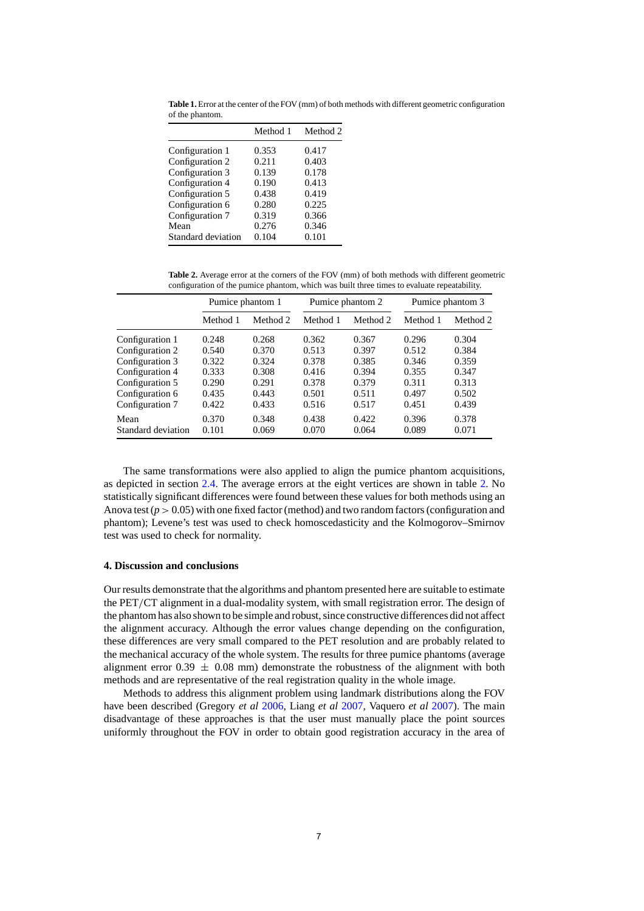<span id="page-6-0"></span>**Table 1.** Error at the center of the FOV (mm) of both methods with different geometric configuration of the phantom.

|                    | Method 1 | Method 2 |  |
|--------------------|----------|----------|--|
| Configuration 1    | 0.353    | 0.417    |  |
| Configuration 2    | 0.211    | 0.403    |  |
| Configuration 3    | 0.139    | 0.178    |  |
| Configuration 4    | 0.190    | 0.413    |  |
| Configuration 5    | 0.438    | 0.419    |  |
| Configuration 6    | 0.280    | 0.225    |  |
| Configuration 7    | 0.319    | 0.366    |  |
| Mean               | 0.276    | 0.346    |  |
| Standard deviation | 0.104    | 0.101    |  |

**Table 2.** Average error at the corners of the FOV (mm) of both methods with different geometric configuration of the pumice phantom, which was built three times to evaluate repeatability.

|                    | Pumice phantom 1 |          | Pumice phantom 2 |          | Pumice phantom 3 |          |
|--------------------|------------------|----------|------------------|----------|------------------|----------|
|                    | Method 1         | Method 2 | Method 1         | Method 2 | Method 1         | Method 2 |
| Configuration 1    | 0.248            | 0.268    | 0.362            | 0.367    | 0.296            | 0.304    |
| Configuration 2    | 0.540            | 0.370    | 0.513            | 0.397    | 0.512            | 0.384    |
| Configuration 3    | 0.322            | 0.324    | 0.378            | 0.385    | 0.346            | 0.359    |
| Configuration 4    | 0.333            | 0.308    | 0.416            | 0.394    | 0.355            | 0.347    |
| Configuration 5    | 0.290            | 0.291    | 0.378            | 0.379    | 0.311            | 0.313    |
| Configuration 6    | 0.435            | 0.443    | 0.501            | 0.511    | 0.497            | 0.502    |
| Configuration 7    | 0.422            | 0.433    | 0.516            | 0.517    | 0.451            | 0.439    |
| Mean               | 0.370            | 0.348    | 0.438            | 0.422    | 0.396            | 0.378    |
| Standard deviation | 0.101            | 0.069    | 0.070            | 0.064    | 0.089            | 0.071    |

The same transformations were also applied to align the pumice phantom acquisitions, as depicted in section [2.4.](#page-5-0) The average errors at the eight vertices are shown in table 2. No statistically significant differences were found between these values for both methods using an Anova test  $(p > 0.05)$  with one fixed factor (method) and two random factors (configuration and phantom); Levene's test was used to check homoscedasticity and the Kolmogorov–Smirnov test was used to check for normality.

#### **4. Discussion and conclusions**

Our results demonstrate that the algorithms and phantom presented here are suitable to estimate the PET*/*CT alignment in a dual-modality system, with small registration error. The design of the phantom has also shown to be simple and robust, since constructive differences did not affect the alignment accuracy. Although the error values change depending on the configuration, these differences are very small compared to the PET resolution and are probably related to the mechanical accuracy of the whole system. The results for three pumice phantoms (average alignment error  $0.39 \pm 0.08$  mm) demonstrate the robustness of the alignment with both methods and are representative of the real registration quality in the whole image.

Methods to address this alignment problem using landmark distributions along the FOV have been described (Gregory *et al* [2006,](#page-7-0) Liang *et al* [2007](#page-7-0), Vaquero *et al* [2007\)](#page-8-0). The main disadvantage of these approaches is that the user must manually place the point sources uniformly throughout the FOV in order to obtain good registration accuracy in the area of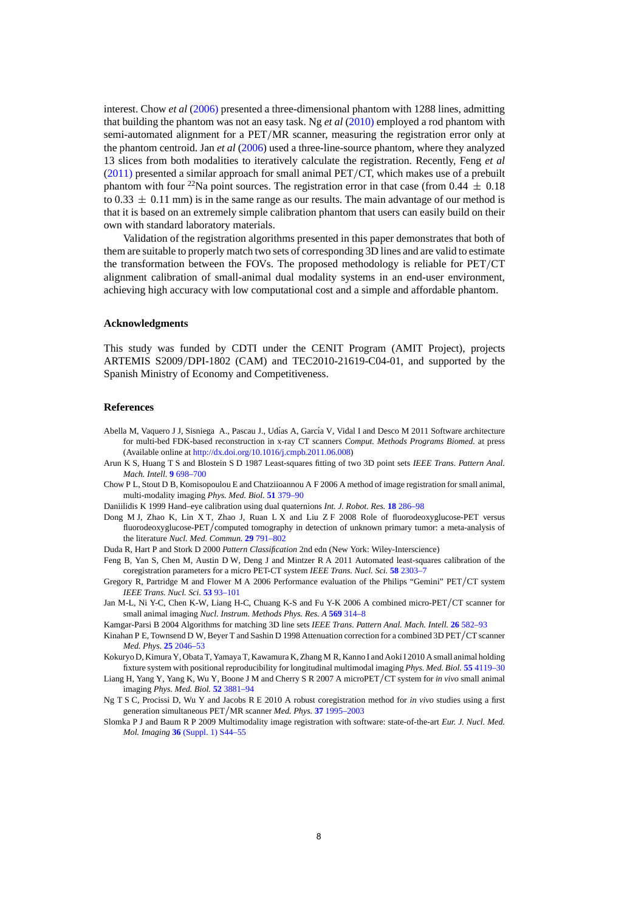<span id="page-7-0"></span>interest. Chow *et al* (2006) presented a three-dimensional phantom with 1288 lines, admitting that building the phantom was not an easy task. Ng *et al* (2010) employed a rod phantom with semi-automated alignment for a PET*/*MR scanner, measuring the registration error only at the phantom centroid. Jan *et al* (2006) used a three-line-source phantom, where they analyzed 13 slices from both modalities to iteratively calculate the registration. Recently, Feng *et al* (2011) presented a similar approach for small animal PET*/*CT, which makes use of a prebuilt phantom with four <sup>22</sup>Na point sources. The registration error in that case (from  $0.44 \pm 0.18$ ) to 0.33  $\pm$  0.11 mm) is in the same range as our results. The main advantage of our method is that it is based on an extremely simple calibration phantom that users can easily build on their own with standard laboratory materials.

Validation of the registration algorithms presented in this paper demonstrates that both of them are suitable to properly match two sets of corresponding 3D lines and are valid to estimate the transformation between the FOVs. The proposed methodology is reliable for PET*/*CT alignment calibration of small-animal dual modality systems in an end-user environment, achieving high accuracy with low computational cost and a simple and affordable phantom.

#### **Acknowledgments**

This study was funded by CDTI under the CENIT Program (AMIT Project), projects ARTEMIS S2009*/*DPI-1802 (CAM) and TEC2010-21619-C04-01, and supported by the Spanish Ministry of Economy and Competitiveness.

#### **References**

- Abella M, Vaquero J J, Sisniega A., Pascau J., Udías A, García V, Vidal I and Desco M 2011 Software architecture for multi-bed FDK-based reconstruction in x-ray CT scanners *Comput. Methods Programs Biomed.* at press (Available online at [http://dx.doi.org/10.1016/j.cmpb.2011.06.008\)](http://dx.doi.org/10.1016/j.cmpb.2011.06.008)
- Arun K S, Huang T S and Blostein S D 1987 Least-squares fitting of two 3D point sets *IEEE Trans. Pattern Anal. Mach. Intell.* **9** [698–700](http://dx.doi.org/10.1109/TPAMI.1987.4767965)
- Chow P L, Stout D B, Komisopoulou E and Chatziioannou A F 2006 A method of image registration for small animal, multi-modality imaging *Phys. Med. Biol.* **51** [379–90](http://dx.doi.org/10.1088/0031-9155/51/2/013)
- Daniilidis K 1999 Hand–eye calibration using dual quaternions *Int. J. Robot. Res.* **18** [286–98](http://dx.doi.org/10.1177/02783649922066213)
- Dong M J, Zhao K, Lin X T, Zhao J, Ruan L X and Liu Z F 2008 Role of fluorodeoxyglucose-PET versus fluorodeoxyglucose-PET*/*computed tomography in detection of unknown primary tumor: a meta-analysis of the literature *Nucl. Med. Commun.* **29** [791–802](http://dx.doi.org/10.1097/MNM.0b013e328302cd26)
- Duda R, Hart P and Stork D 2000 *Pattern Classification* 2nd edn (New York: Wiley-Interscience)
- Feng B, Yan S, Chen M, Austin D W, Deng J and Mintzer R A 2011 Automated least-squares calibration of the coregistration parameters for a micro PET-CT system *IEEE Trans. Nucl. Sci.* **58** [2303–7](http://dx.doi.org/10.1109/TNS.2011.2158445)
- Gregory R, Partridge M and Flower M A 2006 Performance evaluation of the Philips "Gemini" PET*/*CT system *IEEE Trans. Nucl. Sci.* **53** [93–101](http://dx.doi.org/10.1109/TNS.2005.862968)
- Jan M-L, Ni Y-C, Chen K-W, Liang H-C, Chuang K-S and Fu Y-K 2006 A combined micro-PET*/*CT scanner for small animal imaging *Nucl. Instrum. Methods Phys. Res. A* **569** [314–8](http://dx.doi.org/10.1016/j.nima.2006.08.106)
- Kamgar-Parsi B 2004 Algorithms for matching 3D line sets *IEEE Trans. Pattern Anal. Mach. Intell.* **26** [582–93](http://dx.doi.org/10.1109/TPAMI.2004.1273930)
- Kinahan P E, Townsend D W, Beyer T and Sashin D 1998 Attenuation correction for a combined 3D PET*/*CT scanner *Med. Phys.* **25** [2046–53](http://dx.doi.org/10.1118/1.598392)
- Kokuryo D, Kimura Y, Obata T, Yamaya T, Kawamura K, Zhang M R, Kanno I and Aoki I 2010 A small animal holding fixture system with positional reproducibility for longitudinal multimodal imaging *Phys. Med. Biol.* **55** [4119–30](http://dx.doi.org/10.1088/0031-9155/55/14/011)
- Liang H, Yang Y, Yang K, Wu Y, Boone J M and Cherry S R 2007 A microPET*/*CT system for *in vivo* small animal imaging *Phys. Med. Biol.* **52** [3881–94](http://dx.doi.org/10.1088/0031-9155/52/13/015)
- Ng T S C, Procissi D, Wu Y and Jacobs R E 2010 A robust coregistration method for *in vivo* studies using a first generation simultaneous PET*/*MR scanner *Med. Phys.* **37** [1995–2003](http://dx.doi.org/10.1118/1.3369447)
- Slomka P J and Baum R P 2009 Multimodality image registration with software: state-of-the-art *Eur. J. Nucl. Med. Mol. Imaging* **36** [\(Suppl. 1\) S44–55](http://dx.doi.org/10.1007/s00259-008-0941-8)